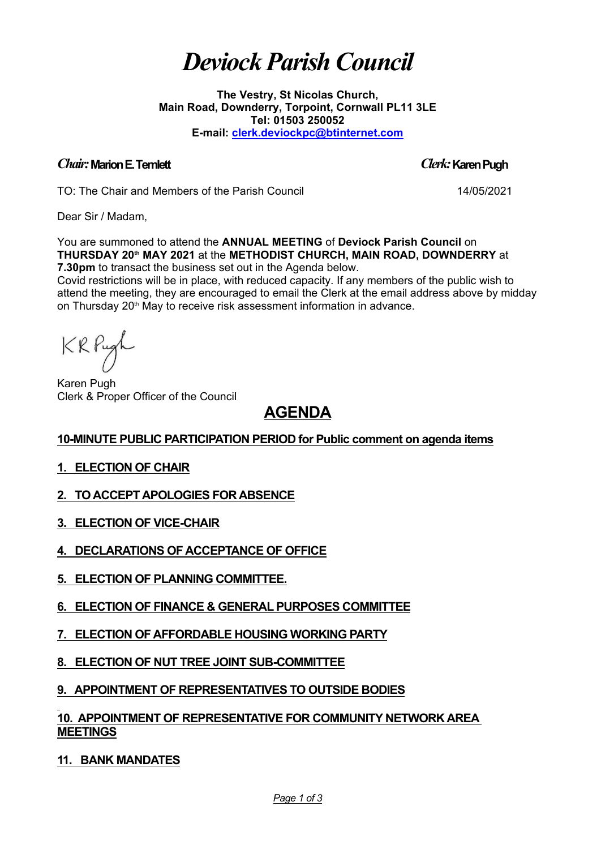# *Deviock ParishCouncil*

**The Vestry, St Nicolas Church, Main Road, Downderry, Torpoint, Cornwall PL11 3LE Tel: 01503 250052 E-mail: [clerk.deviockpc@btinternet.com](mailto:clerk.deviockpc@btinternet.com)**

#### *Chair:***MarionE.Temlett** *Clerk:***KarenPugh**

TO: The Chair and Members of the Parish Council 14/05/2021

Dear Sir / Madam,

You are summoned to attend the **ANNUAL MEETING** of **Deviock Parish Council** on **THURSDAY 20th MAY 2021** at the **METHODIST CHURCH, MAIN ROAD, DOWNDERRY** at **7.30pm** to transact the business set out in the Agenda below.

Covid restrictions will be in place, with reduced capacity. If any members of the public wish to attend the meeting, they are encouraged to email the Clerk at the email address above by midday on Thursday 20<sup>th</sup> May to receive risk assessment information in advance.

KRPugh

Karen Pugh Clerk & Proper Officer of the Council

# **AGENDA**

# **10-MINUTE PUBLIC PARTICIPATION PERIOD for Public comment on agenda items**

# **1. ELECTION OF CHAIR**

- **2. TO ACCEPT APOLOGIES FOR ABSENCE**
- **3. ELECTION OF VICE-CHAIR**
- **4. DECLARATIONS OF ACCEPTANCE OF OFFICE**
- **5. ELECTION OF PLANNING COMMITTEE.**
- **6. ELECTION OF FINANCE & GENERAL PURPOSES COMMITTEE**
- **7. ELECTION OF AFFORDABLE HOUSING WORKING PARTY**
- **8. ELECTION OF NUT TREE JOINT SUB-COMMITTEE**

# **9. APPOINTMENT OF REPRESENTATIVES TO OUTSIDE BODIES**

## **10. APPOINTMENT OF REPRESENTATIVE FOR COMMUNITY NETWORK AREA MEETINGS**

**11. BANK MANDATES**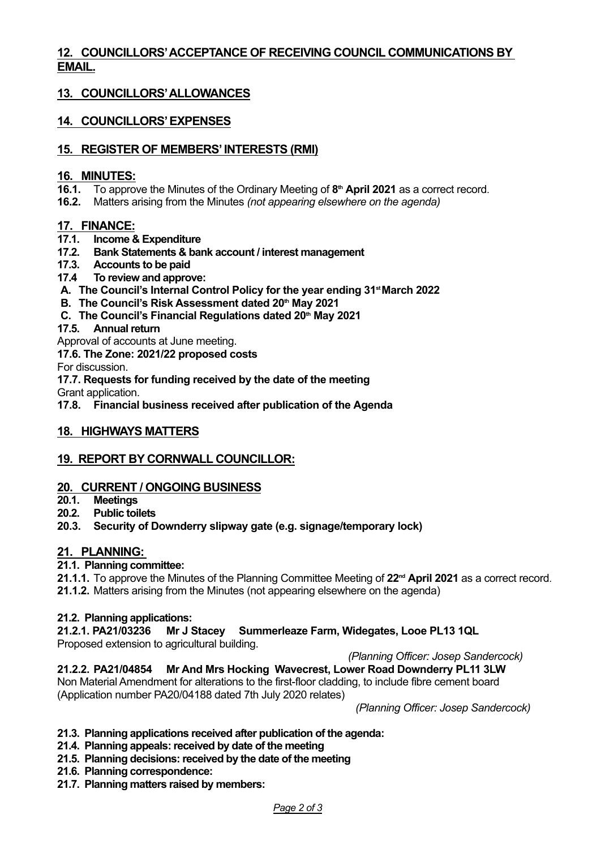### **12. COUNCILLORS'ACCEPTANCE OF RECEIVING COUNCIL COMMUNICATIONS BY EMAIL.**

# **13. COUNCILLORS'ALLOWANCES**

# **14. COUNCILLORS'EXPENSES**

#### **15. REGISTER OF MEMBERS' INTERESTS (RMI)**

#### **16. MINUTES:**

- **16.1.** To approve the Minutes of the Ordinary Meeting of **8 th April 2021** as a correct record.
- **16.2.** Matters arising from the Minutes *(not appearing elsewhere on the agenda)*

#### **17. FINANCE:**

- **17.1. Income & Expenditure**
- **17.2. Bank Statements & bank account / interest management**
- **17.3. Accounts to be paid**
- **17.4 To review and approve:**
- **A. The Council's Internal Control Policy for the year ending 31 stMarch 2022**
- **B. The Council's Risk Assessment dated 20 th May 2021**
- **C. The Council's Financial Regulations dated 20 th May 2021**
- **17.5. Annualreturn**

Approval of accounts at June meeting.

**17.6. The Zone: 2021/22 proposed costs**

For discussion.

**17.7. Requests for funding received by the date of the meeting**

Grant application.

**17.8. Financial business received after publication of the Agenda**

#### **18. HIGHWAYS MATTERS**

#### **19. REPORT BY CORNWALL COUNCILLOR:**

#### **20. CURRENT / ONGOING BUSINESS**

- **20.1. Meetings**
- **20.2. Public toilets**
- **20.3. Security of Downderry slipway gate (e.g. signage/temporary lock)**

#### **21. PLANNING:**

#### **21.1. Planning committee:**

**21.1.1.** To approve the Minutes of the Planning Committee Meeting of 22<sup>nd</sup> April 2021 as a correct record.

**21.1.2.** Matters arising from the Minutes (not appearing elsewhere on the agenda)

#### **21.2. Planning applications:**

**21.2.1. PA21/03236 Mr J Stacey Summerleaze Farm, Widegates, Looe PL13 1QL** Proposed extension to agricultural building.

*(Planning Officer: Josep Sandercock)*

**21.2.2. PA21/04854 Mr And Mrs Hocking Wavecrest, Lower Road Downderry PL11 3LW** Non Material Amendment for alterations to the first-floor cladding, to include fibre cement board (Application number PA20/04188 dated 7th July 2020 relates)

*(Planning Officer: Josep Sandercock)*

#### **21.3. Planning applications received after publication of the agenda:**

- **21.4. Planning appeals:received by date of the meeting**
- **21.5. Planning decisions:received by the date of the meeting**
- **21.6. Planning correspondence:**
- **21.7. Planning matters raised by members:**